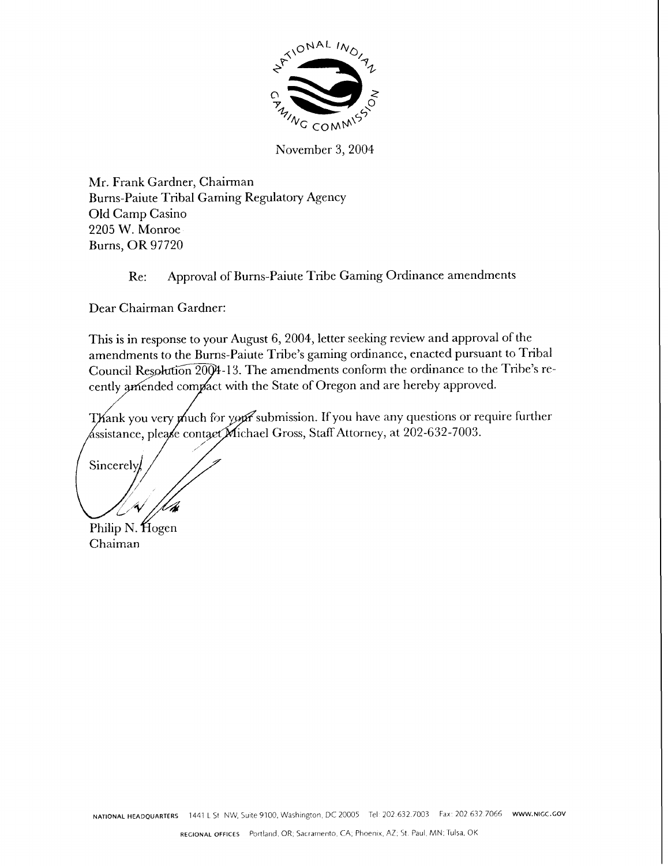

November 3,2004

Mr. Frank Gardner, Chairman Burns-Paiute Tribal Gaming Regulatory Agency Old Camp Casino 2205 W. Monroe Burns, OR 97720

## Re: Approval of Burns-Paiute Tribe Gaming Ordinance amendments

Dear Chairman Gardner:

This is in response to your August 6,2004, letter seeking review and approval of the amendments to the Burns-Paiute Tribe's gaming ordinance, enacted pursuant to Tribal Council Resolution 2004-13. The amendments conform the ordinance to the Tribe's recently amended compact with the State of Oregon and are hereby approved.

Thank you very much for your submission. If you have any questions or require further  $\sqrt{\text{dissistance}}$ , please contact $\cancel{\text{Michael Gross}}$ , Staff Attorney, at 202-632-7003.

Sincerely

Philip N. Hogen Chaiman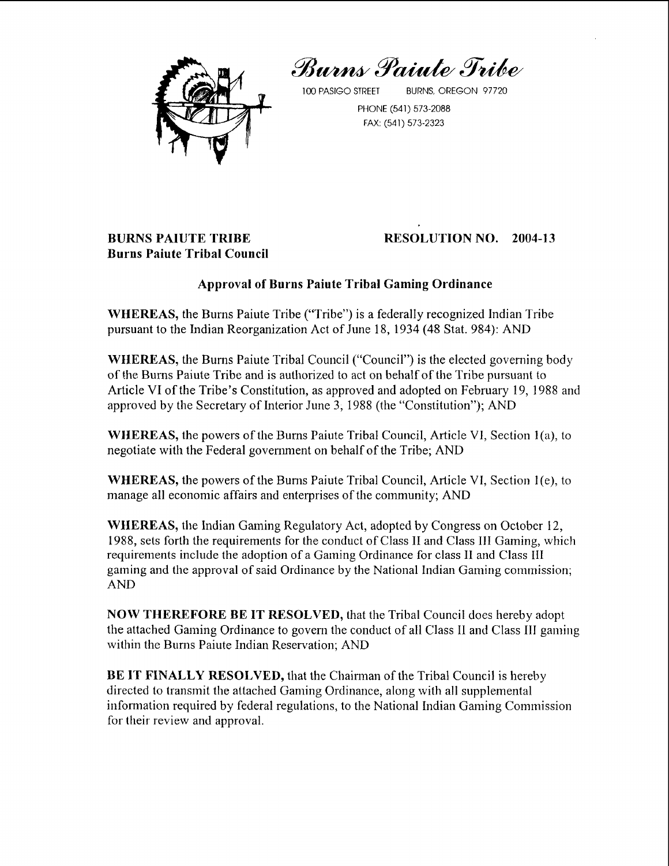Burns Paiute Tribe



100 PASIGO STREET BURNS, OREGON 97720

PHONE (541) 573-2088 FAX: (541) 573-2323

# **BURNS PAIUTE TRIBE Burns Paiute Tribal Council**

# **RESOLUTION NO. 2004-13**

## **Approval of Burns Paiute Tribal Gaming Ordinance**

**WHEREAS,** the Burns Paiute Tribe ("Tribe") is a federally recognized Indian Tribe pursuant to the Indian Reorganization Act of June 18, 1934 (48 Stat. 984): AND

**WHEREAS,** the Burns Paiute Tribal Council ("Council") is the elected governing body of the Burns Paiute Tribe and is authorized to act on behalf of the Tribe pursuant to Article VI of the Tribe's Constitution, as approved and adopted on February 19, 1988 and approved by the Secretary of Interior June 3, 1988 (the "Constitution"); AND

WHEREAS, the powers of the Burns Paiute Tribal Council, Article VI, Section 1(a), to negotiate with the Federal government on behalf of the Tribe; AND

**WHEREAS, the powers of the Burns Paiute Tribal Council, Article VI, Section 1(e), to** manage all economic affairs and enterprises of the community; AND

**WHEREAS,** the Indian Gaming Regulatory Act, adopted by Congress on October 12, 1988, sets forth the requirements for the conduct of Class I1 and Class **111** Gaming, which requirements include the adoption of a Gaming Ordinance for class I1 and Class **I11**  gaming and the approval of said Ordinance by the National Indian Gaming commission; AND

**NOW THEREFORE BE IT RESOLVED, that the Tribal Council does hereby adopt** the attached Gaming Ordinance to govern the conduct of all Class I1 and Class I11 gaming within the Bums Paiute Indian Reservation; AND

**BE IT FINALLY RESOLVED,** that the Chairman of the Tribal Council is hereby directed to transmit the attached Gaming Ordinance, along with all supplemental information required by federal regulations, to the National Indian Gaming Commission for their review and approval.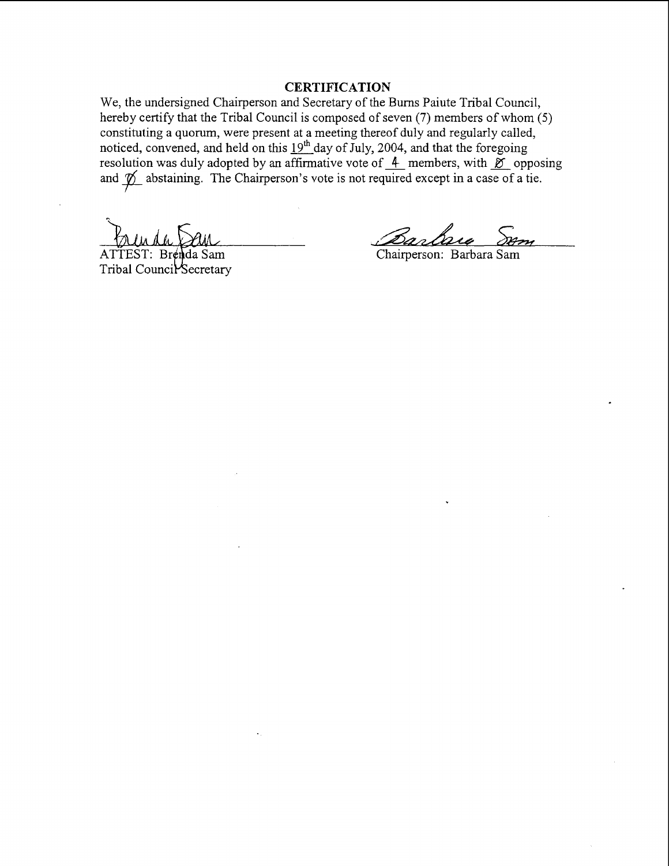## **CERTIFICATION**

We, the undersigned Chairperson and Secretary of the Bums Paiute Tribal Council, hereby certify that the Tribal Council is composed of seven (7) members of whom (5) constituting a quorum, were present at a meeting thereof duly and regularly called, noticed, convened, and held on this  $19^{\text{m}}$  day of July, 2004, and that the foregoing resolution was duly adopted by an affirmative vote of  $\frac{4}{3}$  members, with  $\frac{8}{6}$  opposing<br>resolution was duly adopted by an affirmative vote of  $\frac{4}{3}$  members, with  $\frac{8}{6}$  opposing<br>and  $\frac{8}{6}$  existening. T resolution was duly adopted by an affirmative vote of  $\overline{4}$  members, with  $\overline{6}$  opposing and  $\overline{6}$  abstaining. The Chairperson's vote is not required except in a case of a tie.

**J** 

ATTEST: Brenda Sam Tribal Council Secretary

Chairperson: Barbara Sam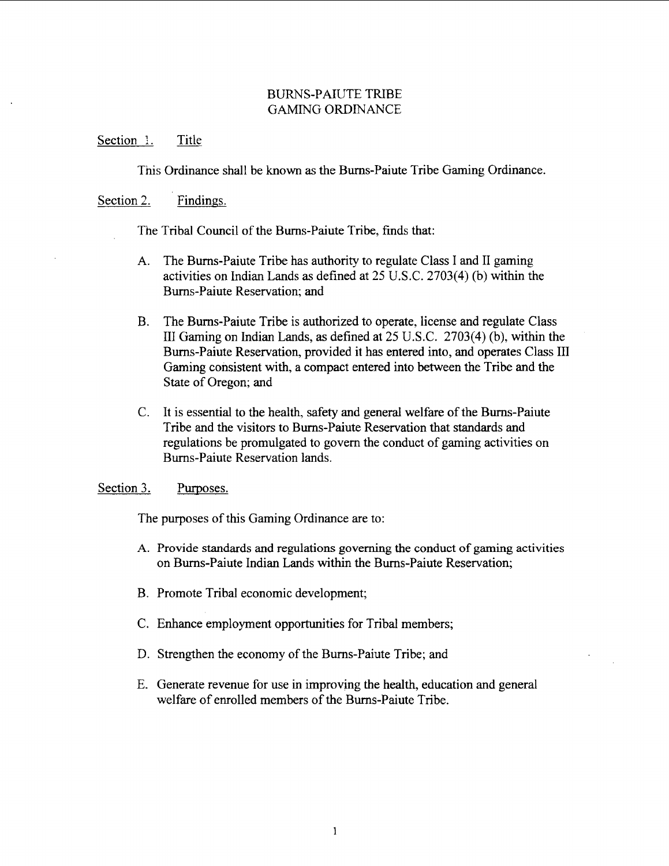## BURNS-PAIUTE TRIBE GAMING ORDINANCE

#### Section 1. Title

Tnis Ordinance shall be known as the Burns-Paiute Tribe Gaming Ordinance.

## Section 2. Findings.

The Tribal Council of the Burns-Paiute Tribe, finds that:

- A. The Burns-Paiute Tribe has authority to regulate Class I and I1 gaming activities on Indian Lands **as** defined at 25 U.S.C. 2703(4) (b) within the Burns-Paiute Reservation; and
- B. The Bums-Paiute Tribe is authorized to operate, license and regulate Class I11 Gaming on Indian Lands, **as** defined at *25* U.S.C. 2703(4) (b), within the Burns-Paiute Reservation, provided it has entered into, and operates Class III Gaming consistent with, a compact entered into between the Tribe and the State of Oregon; and
- C. It is essential to the health, safety and general welfare of the Burns-Paiute Tribe and the visitors to Burns-Paiute Reservation that standards and regulations be promulgated to govern the conduct of gaming activities on Burns-Paiute Reservation lands.

Section 3. Purposes.

The purposes of this Gaming Ordinance are to:

- A. Provide standards and regulations governing the conduct of gaming activities on Burns-Paiute Indian Lands within the Bums-Paiute Reservation;
- B. Promote Tribal economic development;
- C. Enhance employment opportunities for Tribal members;
- D. Strengthen the economy of the Burns-Paiute Tribe; and
- E. Generate revenue for use in improving the health, education and general welfare of enrolled members of the Burns-Paiute Tribe.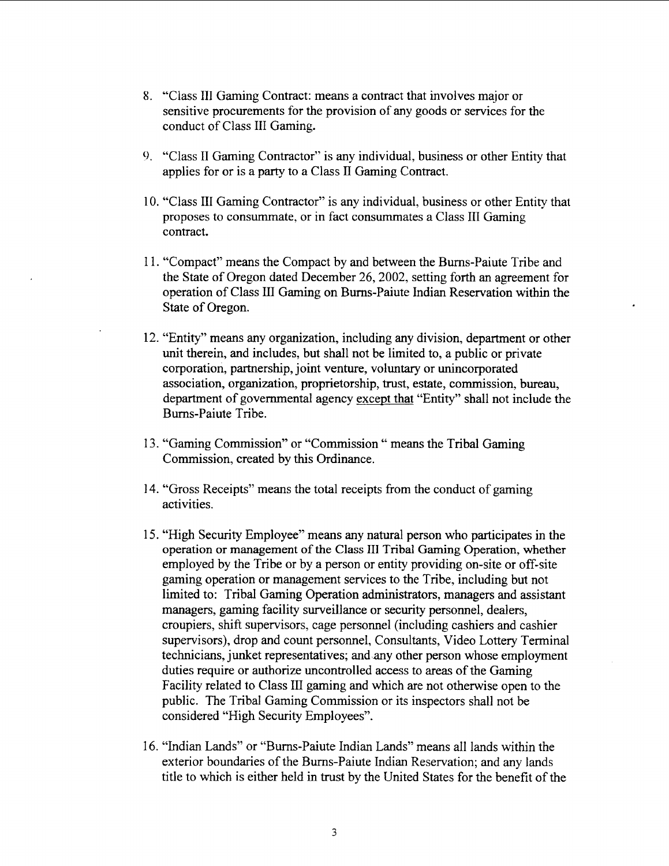- 8. "Class I11 Gaming Contract: means a contract that involves major or sensitive procurements for the provision of any goods or services for the conduct of Class III Gaming.
- **1.** "Class I1 Gaming Contractor" is any individual, business or other Entity that applies for or is a party to a Class I1 Gaming Contract.
- 10. "Class III Gaming Contractor" is any individual, business or other Entity that proposes to consummate, or in fact consummates a Class I11 Gaming contract.
- 1 1. "Compact" means the Compact by and between the Burns-Paiute Tribe and the State of Oregon dated December 26,2002, setting forth an agreement for operation of Class 111 Gaming on Burns-Paiute Indian Reservation within the State of Oregon.
- 12. "Entity" means any organization, including any division, department or other unit therein, and includes, but shall not be limited to, a public or private corporation, partnership, joint venture, voluntary or unincorporated association, organization, proprietorship, trust, estate, commission, bureau, department of governmental agency except that "Entity" shall not include the Bums-Paiute Tribe.
- 13. "Gaming Commission" or "Commission " means the Tribal Gaming Commission, created by this Ordinance.
- 14. "Gross Receipts" means the total receipts from the conduct of gaming activities.
- 15. "High Security Employee" means any natural person who participates in the **operation or management of the Class** 111 **Tribal Gaming Operation, whether**  employed by the Tribe or by a person or entity providing on-site or off-site gaming operation or management services to the Tribe, including but not limited to: Tribal Gaming Operation administrators, managers and assistant managers, gaming facility surveillance or security personnel, dealers, croupiers, shift supervisors, cage personnel (including cashiers and cashier supervisors), drop and count personnel, Consultants, Video Lottery Terminal technicians, junket representatives; and any other person whose employment duties require or authorize uncontrolled access to areas of the Gaming Facility related to Class III gaming and which are not otherwise open to the public. The Tribal Gaming Commission or its inspectors shall not be considered "High Security Employees".
- 16. "Indian Lands" or "Burns-Paiute Indian Lands" means all lands within the exterior boundaries of the Bums-Paiute Indian Reservation; and any lands title to which is either held in trust by the United States for the benefit of the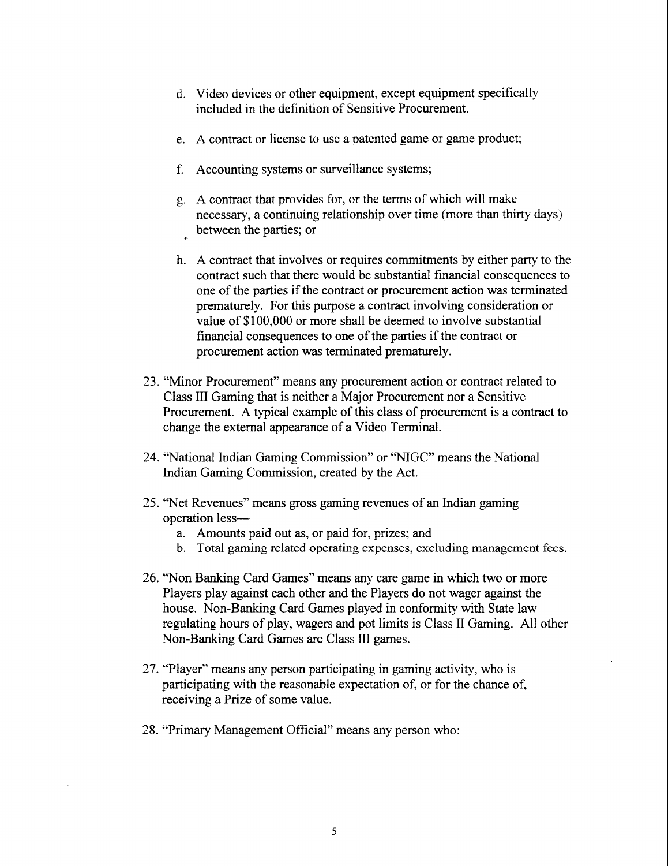- d. Video devices or other equipment, except equipment specifically included in the definition of Sensitive Procurement.
- e. A contract or license to use a patented game or game product;
- f. Accounting systems or surveillance systems;
- g. A contract that provides for, or the terms of which will make necessary, a continuing relationship over time (more than thirty days) between the parties; or
- h. A contract that involves or requires commitments by either party to the contract such that there would be substantial financial consequences to one of the parties if the contract or procurement action was terminated prematurely. For this purpose a contract involving consideration or value of \$100,000 or more shall be deemed to involve substantial financial consequences to one of the parties if the contract or procurement action was terminated prematurely.
- 23. "Minor Procurement" means any procurement action or contract related to Class I11 Gaming that is neither a Major Procurement nor a Sensitive Procurement. A typical example of this class of procurement is a contract to change the external appearance of a Video Terminal.
- 24. "National Indian Gaming Commission" or "NIGC" means the National Indian Gaming Commission, created by the Act.
- *25.* "Net Revenues" means gross gaming revenues of an Indian gaming operation less
	- a. Amounts paid out as, or paid for, prizes; and
	- b. Total gaming related operating expenses, excluding management fees.
- 26. "Non Banking Card Games" means any care game in which two or more Players play against each other and the Players do not wager against the house. Non-Banking Card Games played in conformity with State law regulating hours of play, wagers and pot limits is Class I1 Gaming. All other Non-Banking Card Games are Class HI games.
- 27. "Player" means any person participating in gaming activity, who is participating with the reasonable expectation of, or for the chance of, receiving a Prize of some value.
- 28. "Primary Management Official" means any person who: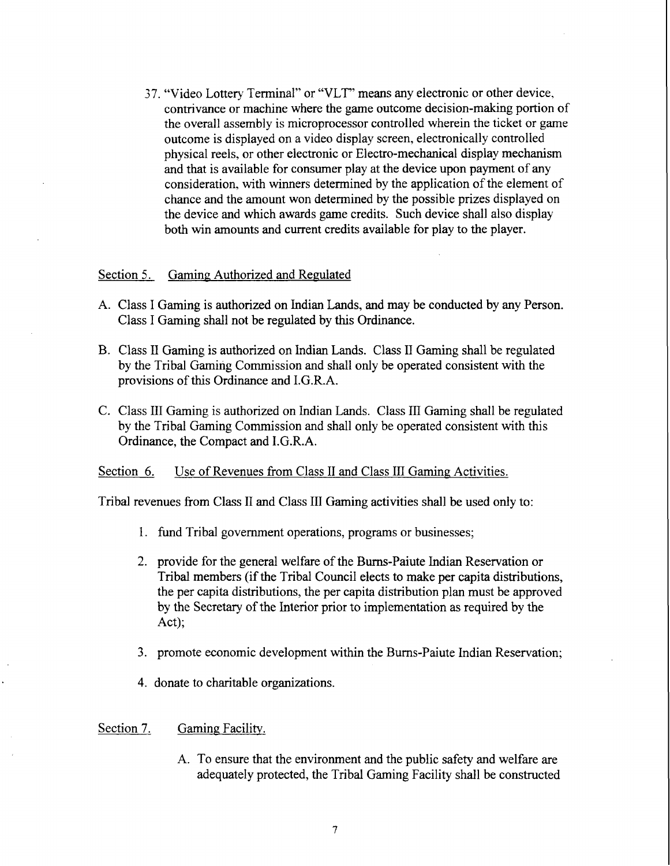37. "Video Lottery Terminal" or "VLT" means any electronic or other device, contrivance or machine where the game outcome decision-making portion of the overall assembly is microprocessor controlled wherein the ticket or game outcome is displayed on a video display screen, electronically controlled physical reels, or other electronic or Electro-mechanical display mechanism and that is available for consumer play at the device upon payment of any consideration, with winners determined by the application of the element of chance and the amount won determined by the possible prizes displayed on the device and which awards game credits. Such device shall also display both win amounts and current credits available for play to the player.

#### Section 5. Gaming Authorized and Regulated

- A. Class I Gaming is authorized on Indian Lands, and may be conducted by any Person. Class I Gaming shall not be regulated by this Ordinance.
- B. Class I1 Gaming is authorized on Indian Lands. Class I1 Gaming shall be regulated by the Tribal Gaming Commission and shall only be operated consistent with the provisions of this Ordinance and I.G.R.A.
- C. Class 111 Gaming is authorized on Indian Lands. Class I11 Gaming shall be regulated by the Tribal Gaming Commission and shall only be operated consistent with this Ordinance, the Compact and I.G.R.A.

### Section 6. Use of Revenues from Class II and Class III Gaming Activities.

Tribal revenues from Class I1 and Class I11 Gaming activities shall be used only to:

- 1. fund Tribal government operations, programs or businesses;
- 2. provide for the general welfare of the Burns-Paiute Indian Reservation or Tribal members (if the Tribal Council elects to make per capita distributions, the per capita distributions, the per capita distribution plan must be approved by the Secretary of the Interior prior to implementation as required by the Act);
- **3.** promote economic development within the Bums-Paiute Indian Reservation;
- 4. donate to charitable organizations.

#### Section 7. Gaming Facility.

A. To ensure that the environment and the public safety and welfare are adequately protected, the Tribal Gaming Facility shall be constructed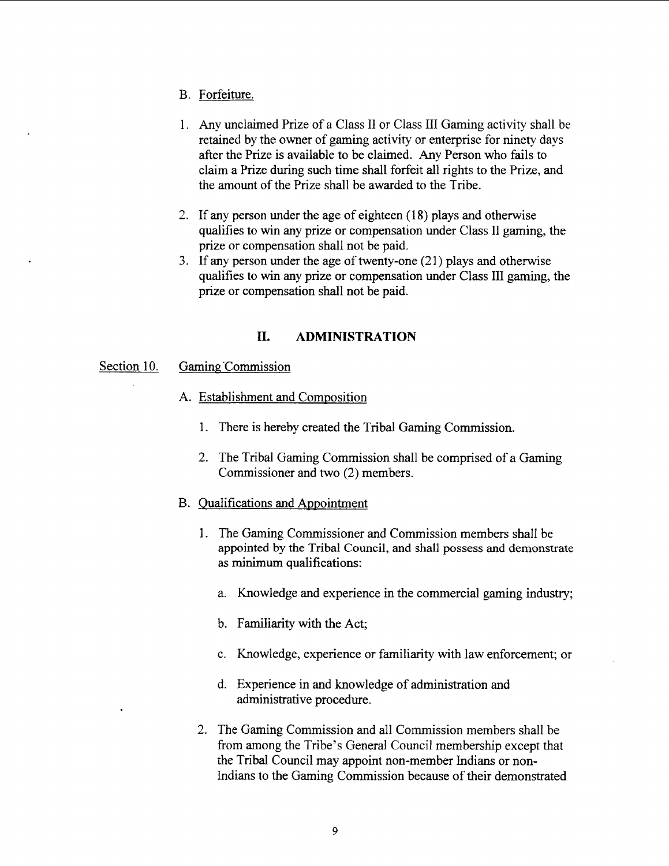- B. Forfeiture.
- 1. Any unclaimed Prize of a Class I1 or Class I11 Gaming activity shall be retained by the owner of gaming activity or enterprise for ninety days after the Prize is available to be claimed. Any Person who fails to claim a Prize during such time shall forfeit all rights to the Prize, and the amount of the Prize shall be awarded to the Tribe.
- 2. If any person under the age of eighteen (1 **8)** plays and otherwise qualifies to win any prize or compensation under Class I1 gaming, the prize or compensation shall not be paid.
- 3. If any person under the age of twenty-one (21) plays and otherwise qualifies to win any prize or compensation under Class I11 gaming, the prize or compensation shall not be paid.

## **11. ADMINISTRATION**

## Section 10. Gaming Commission

- A. Establishment and Composition
	- 1. There is hereby created the Tribal Gaming Commission.
	- 2. The Tribal Gaming Commission shall be comprised of a Gaming Commissioner and two (2) members.
- B. Qualifications and Appointment
	- 1. The Gaming Commissioner and Commission members shall be appointed by the Tribal Council, and shall possess and demonstrate as minimum qualifications:
		- a. Knowledge and experience in the commercial gaming industry;
		- b. Familiarity with the Act;
		- c. Knowledge, experience or familiarity with law enforcement; or
		- d. Experience in and knowledge of administration and administrative procedure.
	- 2. The Gaming Commission and all Commission members shall be from among the Tribe's General Council membership except that the Tribal Council may appoint non-member Indians or non-Indians to the Gaming Commission because of their demonstrated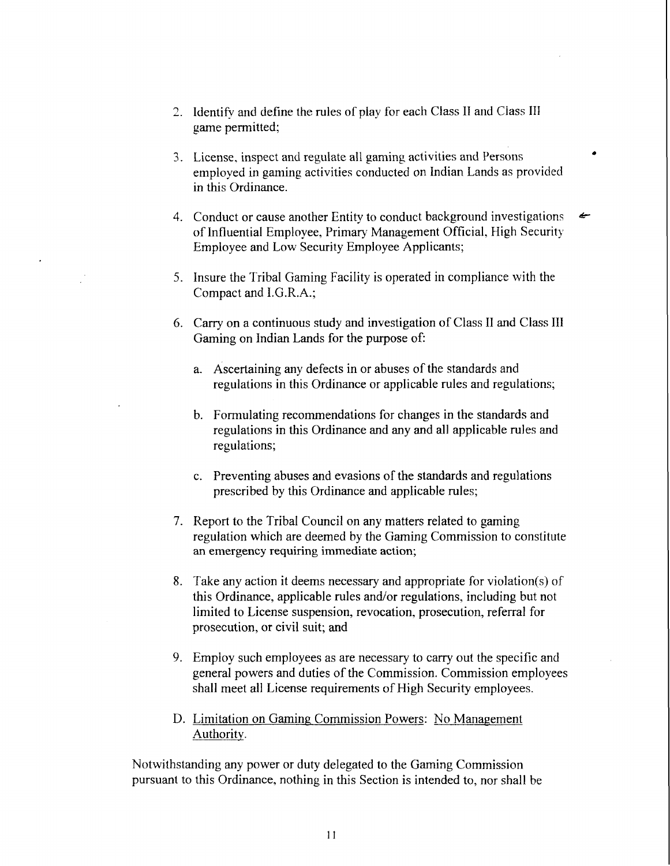- 2. ldentifv and define the rules of play for each Class I1 and Class I11 game permitted;
- 3. License, inspect and regulate a11 gaming activities and Persons employed in gaming activities conducted on Indian Lands as provided in this Ordinance.
- 4. Conduct or cause another Entity to conduct background investigations سمع of Influential Employee, Primary Management Official, High Security Employee and Low Security Employee Applicants;
- 5. Insure the Tribal Gaming Facility is operated in compliance with the Compact and I.G.R.A.;
- 6. Carry on a continuous study and investigation of Class I1 and Class 111 Gaming on Indian Lands for the purpose of:
	- a. Ascertaining any defects in or abuses of the standards and regulations in this Ordinance or applicable rules and regulations;
	- b. Formulating recommendations for changes in the standards and regulations in this Ordinance and any and all applicable rules and regulations;
	- c. Preventing abuses and evasions of the standards and regulations prescribed by this Ordinance and applicable rules;
- 7. Report to the Tribal Council on any matters related to gaming regulation which are deemed by the Gaming Commission to constitute an emergency requiring immediate action;
- 8. Take any action it deems necessary and appropriate for violation(s) of this Ordinance, applicable rules and/or regulations, including but not limited to License suspension, revocation, prosecution, referral for prosecution, or civil suit; and
- 9. Employ such employees as are necessary to carry out the specific and general powers and duties of the Commission. Commission employees shall meet all License requirements of High Security employees.
- D. Limitation on Gaming Commission Powers: No Management Authority.

Notwithstanding any power or duty delegated to the Gaming Commission pursuant to this Ordinance, nothing in this Section is intended to, nor shall be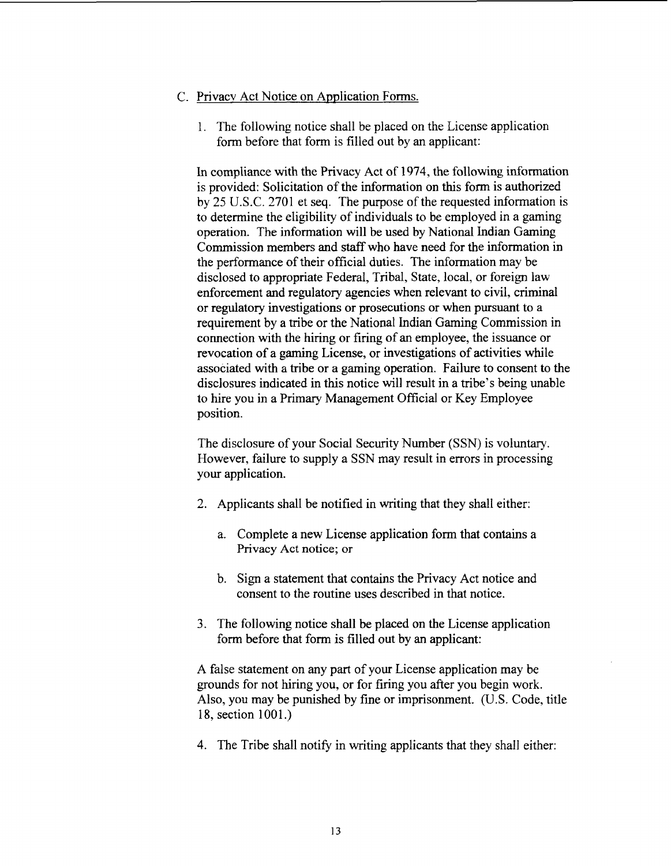## C. Privacv Act Notice on Application Forms.

1. The following notice shall be placed on the License application form before that form is filled out by an applicant:

In compliance with the Privacy Act of 1974, the following information is provided: Solicitation of the information on this form is authorized by 25 U.S.C. 2701 et seq. The purpose of the requested information is to determine the eligibility of individuals to be employed in a gaming operation. The information will be used by National Indian Gaming Commission members and staff who have need for the information in the performance of their official duties. The information may be disclosed to appropriate Federal, Tribal, State, local, or foreign law enforcement and regulatory agencies when relevant to civil, criminal or regulatory investigations or prosecutions or when pursuant to a requirement by a tribe or the National Indian Gaming Commission in connection with the hiring or firing of an employee, the issuance or revocation of a gaming License, or investigations of activities while associated with a tribe or a gaming operation. Failure to consent to the disclosures indicated in this notice will result in a tribe's being unable to hire you in a Primary Management Official or Key Employee position.

The disclosure of your Social Security Number (SSN) is voluntary. However, failure to supply a SSN may result in errors in processing your application.

- 2. Applicants shall be notified in writing that they shall either:
	- a. Complete a new License application form that contains a Privacy **Act notice; or**
	- b. Sign **a** statement that contains the Privacy Act notice and consent to the routine uses described in that notice.
- **3.** The following notice shall be placed on the License application form before that form is filled out by an applicant:

A false statement on any **part** of your License application may be grounds for not hiring you, or for firing you after you begin work. Also, you may be punished by fine or imprisonment. (U.S. Code, title 18, section 1001.)

4. The Tribe shall notify in writing applicants that they shall either: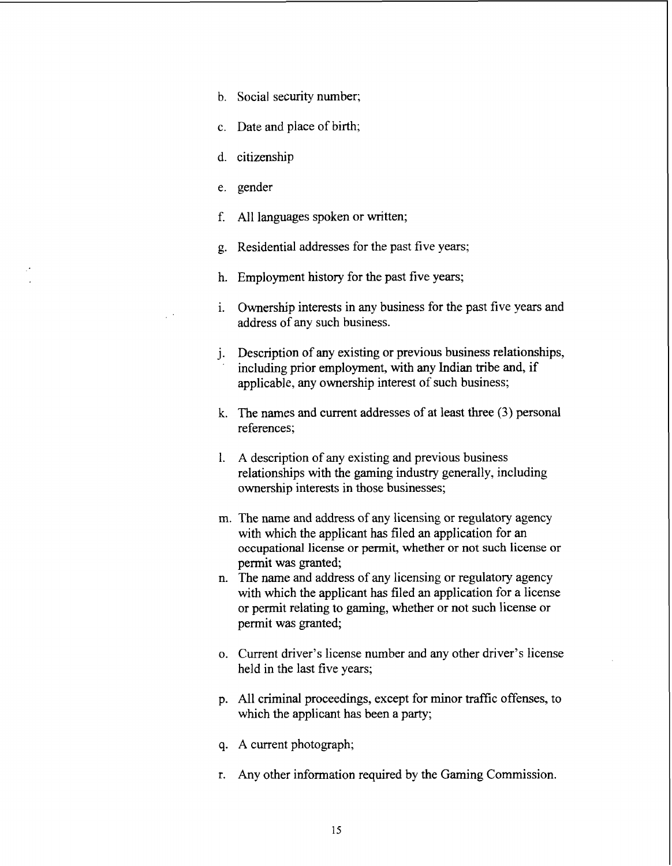- b. Social security number;
- c. Date and place of birth;
- d. citizenship
- e. gender
- f. All languages spoken or written;
- g. Residential addresses for the past five years;
- h. Employment history for the past five years;
- i. Ownership interests in any business for the past five years and address of any such business.
- j. Description of any existing or previous business relationships, including prior employment, with any Indian tribe and, if applicable, any ownership interest of such business;
- k. The names and current addresses of at least three **(3)** personal references;
- 1. A description of any existing and previous business relationships with the gaming industry generally, including ownership interests in those businesses;
- m. The name and address of any licensing or regulatory agency with which the applicant has filed an application for an occupational license or permit, whether or not such license or permit was granted;
- n. The name and address of any licensing or regulatory agency with which the applicant has filed an application for a license or permit relating to gaming, whether or not such license or permit was granted;
- o. Current driver's license number and any other driver's license held in the last five years;
- p. All criminal proceedings, except for minor traffic offenses, to which the applicant has been a party;
- q. A current photograph;
- r. Any other information required by the Gaming Commission.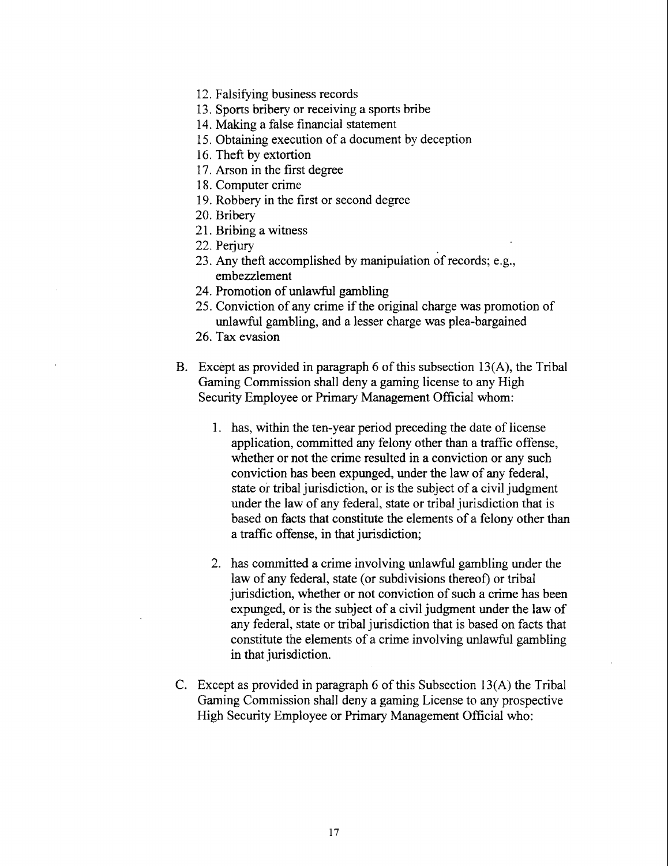- 12. Falsifying business records
- 13. Sports bribery or receiving a sports bribe
- 14. Making a false financial statement
- 15. Obtaining execution of a document by deception
- 16. Theft by extortion
- 17. Arson in the first degree
- 18. Computer crime
- 19. Robbery in the first or second degree
- 20. Bribery
- 21. Bribing a witness
- 22. Perjury
- 23. Any theft accomplished by manipulation of records; e.g., embezzlement
- 24. Promotion of unlawful gambling
- *25.* Conviction of any crime if the original charge was promotion of unlawful gambling, and a lesser charge was plea-bargained
- 26. Tax evasion
- B. Except as provided in paragraph 6 of this subsection 13(A), the Tribal Gaming Commission shall deny a gaming license to any High Security Employee or Primary Management Official whom:
	- 1. has, within the ten-year period preceding the date of license application, committed any felony other than a traffic offense, whether or not the crime resulted in a conviction or any such conviction has been expunged, under the law of any federal, state or tribal jurisdiction, or is the subject of a civil judgment under the law of any federal, state or tribal jurisdiction that is based on facts that constitute the elements of a felony other than a traffic offense, in that jurisdiction;
	- 2. has committed a crime involving unlawful gambling under the law of any federal, state (or subdivisions thereof) or tribal jurisdiction, whether or not conviction of such a crime has been expunged, or is the subject of a civil judgment under the law of any federal, state or tribal jurisdiction that is based on facts that constitute the elements of a crime involving unlawful gambling in that jurisdiction.
- C. Except as provided in paragraph 6 of this Subsection 13(A) the Tribal Gaming Commission shall deny a gaming License to any prospective High Security Employee or Primary Management Official who: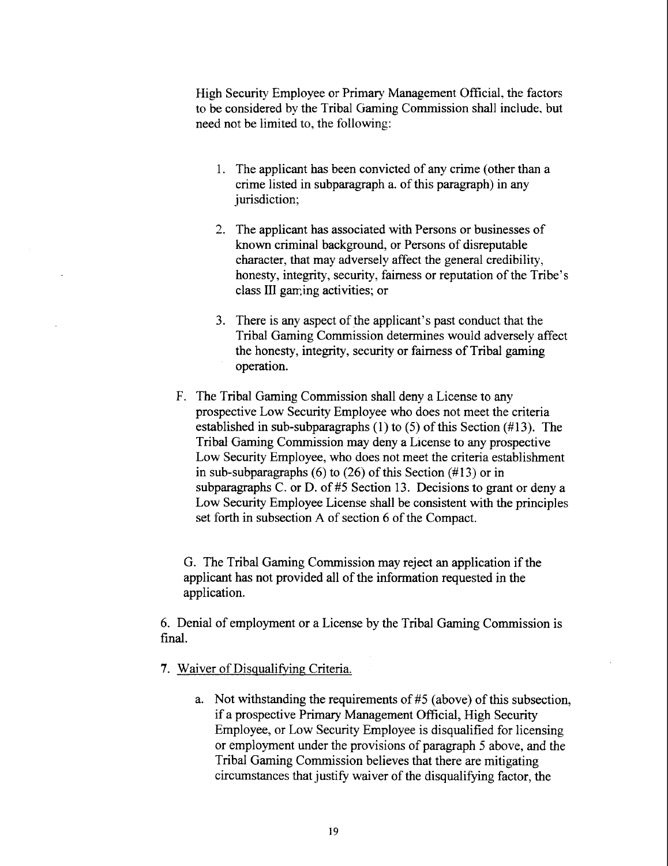High Security Employee or Primary Management Official, the factors to be considered by the Tribal Gaming Commission shall include, but need not be limited to, the following:

- 1. The applicant has been convicted of any crime (other than a crime listed in subparagraph a. of this paragraph) in any jurisdiction;
- 2. The applicant has associated with Persons or businesses of known criminal background, or Persons of disreputable character, that may adversely affect the general credibility, honesty, integrity, security, fairness or reputation of the Tribe's class **III** gaming activities; or
- **3.** There is any aspect of the applicant's past conduct that the Tribal Gaming commission determines would adversely affect the honesty, integrity, security or fairness of Tribal gaming operation.
- F. The Tribal Gaming Commission shall deny a License to any prospective Low Security Employee who does not meet the criteria established in sub-subparagraphs (I) to (5) of this Section (#13). The Tribal Gaming Commission may deny a License to any prospective Low Security Employee, who does not meet the criteria establishment in sub-subparagraphs  $(6)$  to  $(26)$  of this Section  $(#13)$  or in subparagraphs C. or D. of #5 Section 13. Decisions to grant or deny a Low Security Employee License shall be consistent with the principles set forth in subsection A of section 6 of the Compact.

G. The Tribal Gaming Commission may reject an application if the applicant has not provided all of the information requested in the application.

6. Denial of employment or a License by the Tribal Gaming Commission is final.

- **7.** Waiver of Disqualifying; Criteria.
	- a. Not withstanding the requirements of **#5** (above) of this subsection, if a prospective Primary Management Official, High Security Employee, or Low Security Employee is disqualified for licensing or employment under the provisions of paragraph **5** above, and the Tribal Gaming Commission believes that there are mitigating circumstances that justify waiver of the disqualifying factor, the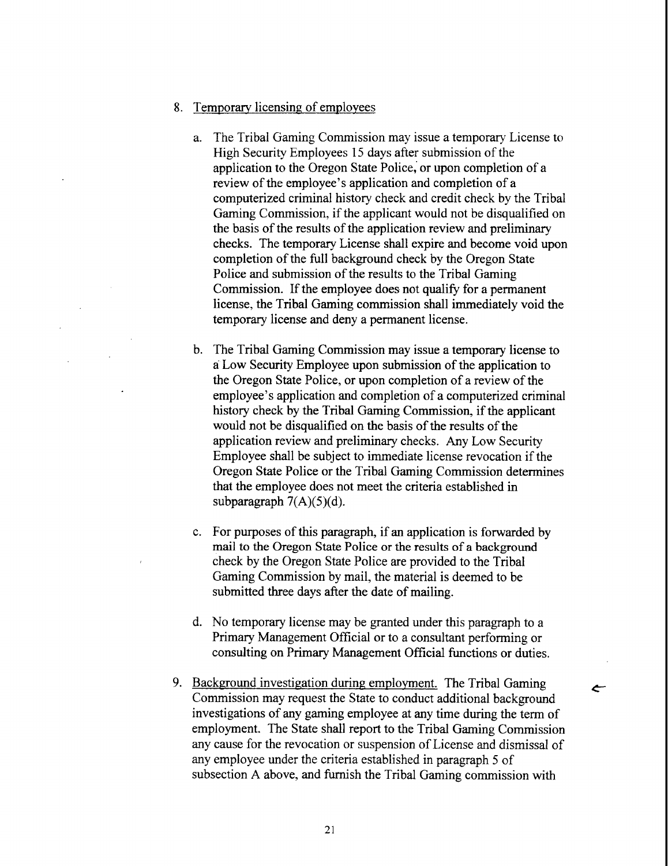- 8. Temporary licensing of employees
	- a. The Tribal Gaming Commission may issue a temporary License to High Security Employees 15 days after submission of the application to the Oregon State Police, or upon completion of a review of the employee's application and completion of a computerized criminal history check and credit check by the Tribal Gaming Commission, if the applicant would not be disqualified on the basis of the results of the application review and preliminary checks. The temporary License shall expire and become void upon completion of the full background check by the Oregon State Police and submission of the results to the Tribal Gaming Commission. If the employee does not qualify for a permanent license, the Tribal Gaming commission shall immediately void the temporary license and deny a permanent license.
	- b. The Tribal Gaming Commission may issue a temporary license to a Low Security Employee upon submission of the application to the Oregon State Police, or upon completion of a review of the employee's application and completion of a computerized criminal history check by the Tribal Gaming Commission, if the applicant would not be disqualified on the basis of the results of the application review and preliminary checks. Any Low Security Employee shall be subject to immediate license revocation if the Oregon State Police or the Tribal Gaming Commission determines that the employee does not meet the criteria established in subparagraph  $7(A)(5)(d)$ .
	- c. For purposes of this paragraph, if an application is forwarded by mail to the Oregon State Police or the results of a background check by the Oregon State Police are provided to the Tribal Gaming Commission by mail, the material is deemed to be submitted three days after the date of mailing.
	- d. No temporary license may be granted under this paragraph to a Primary Management Official or to a consultant performing or consulting on Primary Management Oficial functions or duties.

 $\leftarrow$ 

9. Background investigation during employment. The Tribal Gaming Commission may request the State to conduct additional background investigations of any gaming employee at any time during the term of employment. The State shall report to the Tribal Gaming Commission any cause for the revocation or suspension of License and dismissal of any employee under the criteria established in paragraph 5 of subsection A above, and furnish the Tribal Gaming commission with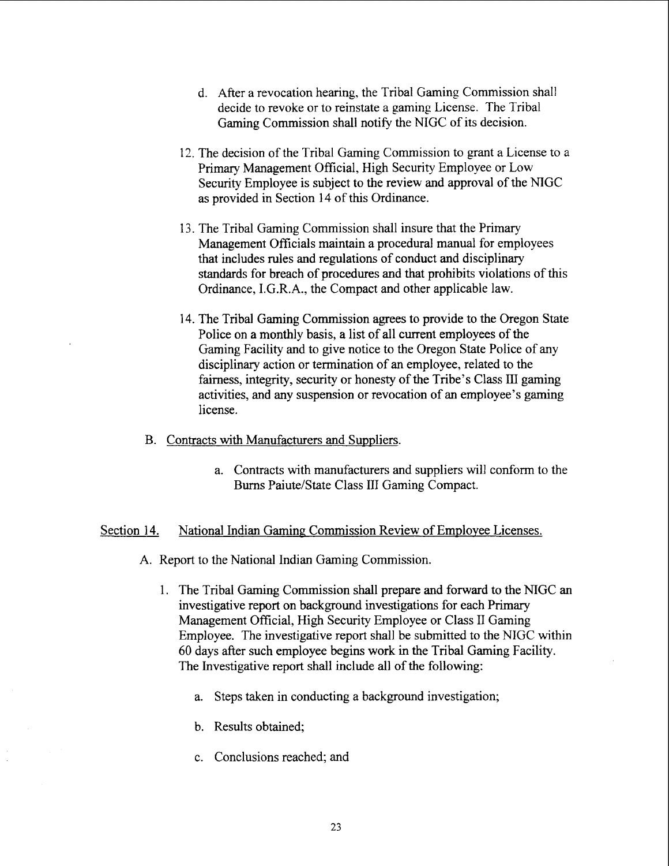- d. After a revocation hearing, the Tribal Gaming Commission shall decide to revoke or to reinstate a gaming License. The Tribal Gaming Commission shall notify the NIGC of its decision.
- 12. The decision of the Tribal Gaming Commission to grant a License to a Primary Management Official, High Security Employee or Low Security Employee is subject to the review and approval of the NIGC as provided in Section 14 of this Ordinance.
- 13. The Tribal Gaming Commission shall insure that the Primary Management Officials maintain a procedural manual for employees that includes rules and regulations of conduct and disciplinary standards for breach of procedures and that prohibits violations of this Ordinance, I.G.R.A., the Compact and other applicable law.
- 14. The Tribal Gaming Commission agrees to provide to the Oregon State Police on a monthly basis, a list of all current employees of the Gaming Facility and to give notice to the Oregon State Police of any disciplinary action or termination of an employee, related to the fairness, integrity, security or honesty of the Tribe's Class III gaming activities, and any suspension or revocation of an employee's gaming license.
- B. Contracts with Manufacturers and Suppliers.
	- a. Contracts with manufacturers and suppliers will conform to the Burns Paiute/State Class III Gaming Compact.

### Section 14. National Indian Gaming Commission Review of Employee Licenses.

- A. Report to the National Indian Gaming Commission.
	- 1. The Tribal Gaming Commission shall prepare and forward to the NIGC an investigative report on background investigations for each Primary Management Official, High Security Employee or Class I1 Gaming Employee. The investigative report shall be submitted to the NIGC within 60 days after such employee begins work in the Tribal Gaming Facility. The Investigative report shall include all of the following:
		- a. Steps taken in conducting a background investigation;
		- b. Results obtained;
		- c. Conclusions reached; and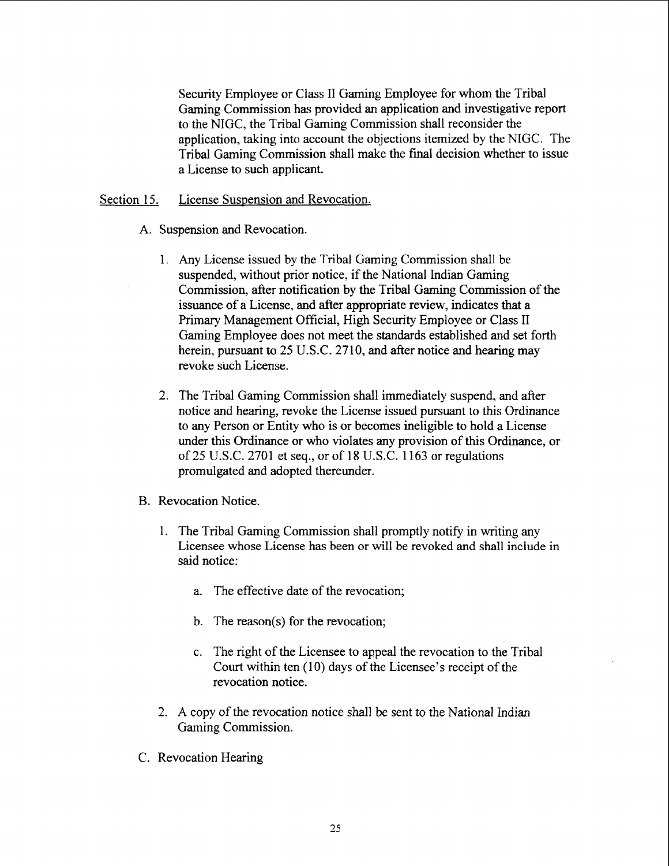Security Employee or Class **II** Gaming Employee for whom the Tribal Gaming Commission has provided an application and investigative report to the NIGC, the Tribal Gaming Commission shall reconsider the application, taking into account the objections itemized by the NIGC. The Tribal Gaming Commission shall make the final decision whether to issue a License to such applicant.

## Section 15. License Suspension and Revocation.

- A. Suspension and Revocation.
	- Any License issued by the Tribal Gaming Commission shall be suspended, without prior notice, if the National Indian Gaming Commission, after notification by the Tribal Gaming Commission of the issuance of a License, and after appropriate review, indicates that a Primary Management Official, High Security Employee or Class **II**  Gaming Employee does not meet the standards established and set forth herein, pursuant to 25 U.S.C. 2710, and after notice and hearing may revoke such License.
	- 2. The Tribal Gaming Commission shall immediately suspend, and after notice and hearing, revoke the License issued pursuant to this Ordinance to any Person or Entity who is or becomes ineligible to hold a License under this Ordinance or who violates any provision of this Ordinance, or of 25 U.S.C. 2701 et seq., or of 18 U.S.C. 1163 or regulations promulgated and adopted thereunder.
- B. Revocation Notice.
	- 1. The Tribal Gaming Commission shall promptly notify in writing any Licensee whose License has been or will be revoked and shall include in said notice:
		- a. The effective date of the revocation;
		- b. The reason(s) for the revocation;
		- c. The right of the Licensee to appeal the revocation to the Tribal Court within ten (10) days of the Licensee's receipt of the revocation notice.
	- 2. A copy of the revocation notice shall be sent to the National Indian Gaming Commission.
- C. Revocation Hearing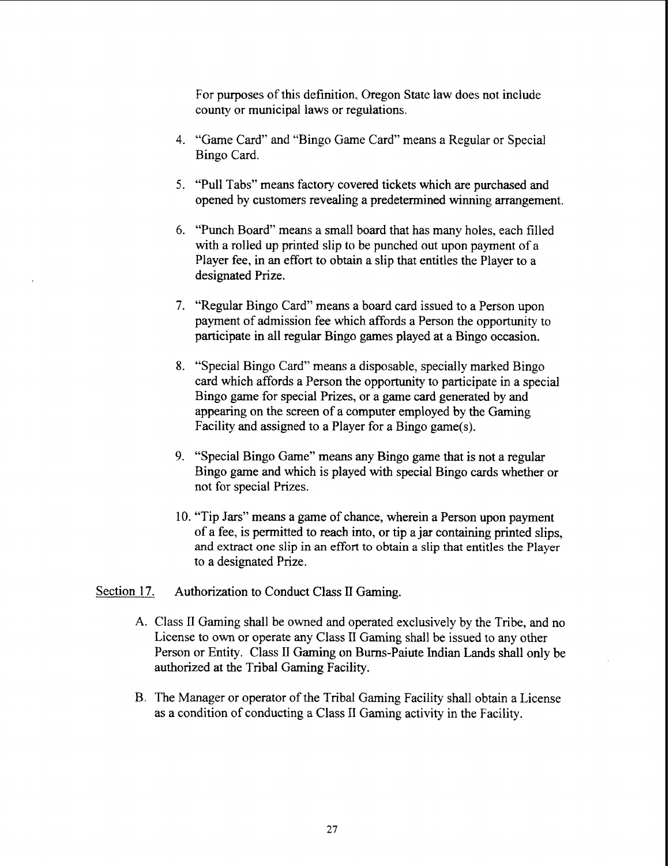For purposes of this definition, Oregon State law does not include county or municipal laws or regulations.

- 4. "Game Card" and "Bingo Game Card" means a Regular or Special Bingo Card.
- 5. "Pull Tabs" means factory covered tickets which are purchased and opened by customers revealing a predetermined winning arrangement.
- 6. "Punch Board" means a small board that has many holes, each filled with a rolled up printed slip to be punched out upon payment of a Player fee, in **an** effort to obtain a slip that entitles the Player to a designated Prize.
- 7. "Regular Bingo Card" means a board card issued to a Person upon payment of admission fee which affords a Person the opportunity to participate in all regular Bingo games played at a Bingo occasion.
- 8. "Special Bingo Card" means a disposable, specially marked Bingo card which affords a Person the opportunity to participate in a special Bingo game for special Prizes, or a game card generated by and appearing on the screen of a computer employed by the Gaming Facility and assigned to a Player for a Bingo game(s).
- 9. "Special Bingo Game" means any Bingo game that is not a regular Bingo game and which is played with special Bingo cards whether or not for special Prizes.
- 10. "Tip Jars" means a game of chance, wherein a Person upon payment of a fee, is permitted to reach into, or tip a jar containing printed slips, and extract one slip in an effort to obtain a slip that entitles the Player to a designated Prize.

## Section 17. Authorization to Conduct Class II Gaming.

- **A.** Class I1 Gaming shall be owned and operated exclusively by the Tribe, and no License to own or operate any Class **I1** Gaming shall be issued to any other Person or Entity. Class **Il** Gaming on Burns-Paiute Indian Lands shall only be authorized at the Tribal Gaming Facility.
- B. The Manager or operator of the Tribal Gaming Facility shall obtain a License as a condition of conducting a Class I1 Gaming activity in the Facility.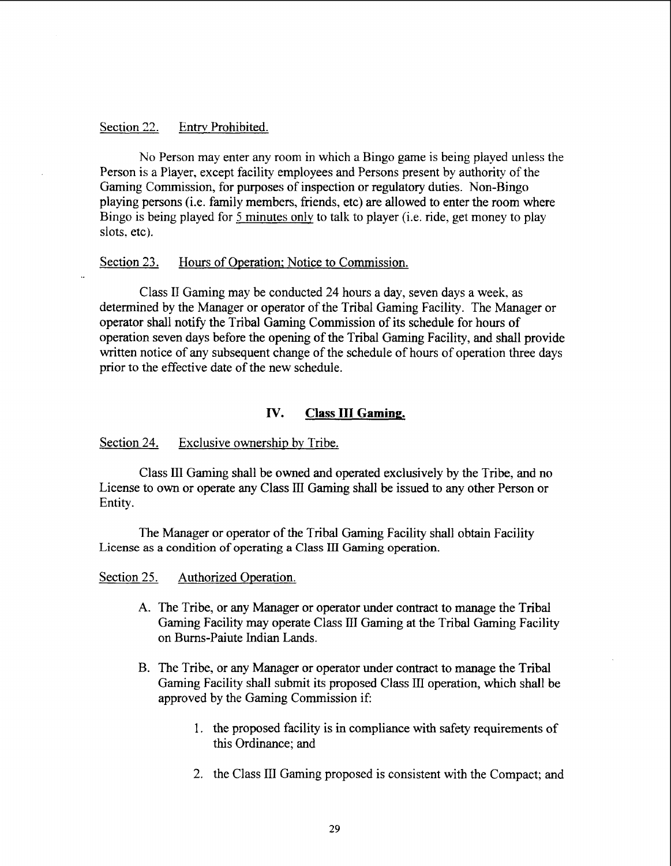### Section 22. Entrv Prohibited.

No Person may enter any room in which a Bingo game is being played unless the Person is a Player, except facility employees and Persons present by authority of the Gaming Commission, for purposes of inspection or regulatory duties. Non-Bingo playing persons (i.e. family members, friends, etc) are allowed to enter the room where Bingo is being played for 5 minutes only to talk to player (i.e. ride, get money to play slots, etc).

## Section 23. Hours of Operation; Notice to Commission.

Class 11 Gaming may be conducted 24 hours a day, seven days a week, as determined by the Manager or operator of the Tribal Gaming Facility. The Manager or operator shall notify the Tribal Gaming Commission of its schedule for hours of operation seven days before the opening of the Tribal Gaming Facility, and shall provide written notice of any subsequent change of the schedule of hours of operation three days prior to the effective date of the new schedule.

## **IV.** Class III Gaming.

#### Section 24. Exclusive ownership by Tribe.

Class **111** Gaming shall be owned and operated exclusively by the Tribe, and no License to own or operate any Class **III** Gaming shall be issued to any other Person or Entity.

The Manager or operator of the Tribal Gaming Facility shall obtain Facility **License as a condition of operating a Class** ID **Gaming operation.** 

### Section 25. Authorized Operation.

- A. The Tribe, or any Manager or operator under contract to manage the Tribal Gaming Facility may operate Class 111 Gaming at the Tribal Gaming Facility on Burns-Paiute Indian Lands.
- B. The Tribe, or any Manager or operator under contract to manage the Tribal Gaming Facility shall submit its proposed Class III operation, which shall be approved by the Gaming Commission if:
	- 1. the proposed facility is in compliance with safety requirements of this Ordinance; and
	- 2. the Class 111 Gaming proposed is consistent with the Compact; and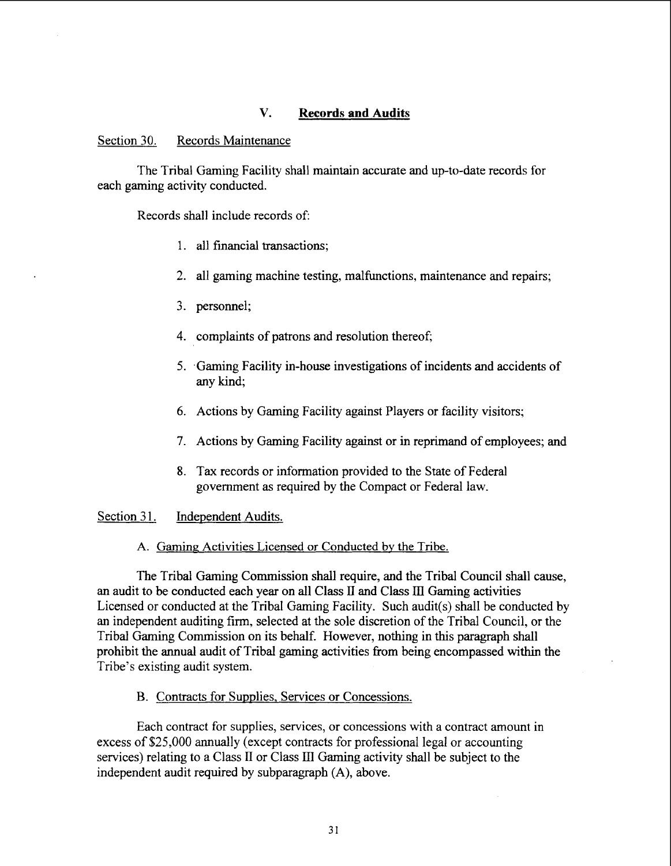## **V. Records and Audits**

### Section 30. Records Maintenance

The Tribal Gaming Facility shall maintain accurate and up-to-date records for each gaming activity conducted.

Records shall include records of:

- 1. all financial transactions;
- *2.* all gaming machine testing, malfunctions, maintenance and repairs;
- 3. personnel;
- 4. complaints of patrons and resolution thereof;
- 5. .Gaming Facility in-house investigations of incidents and accidents of any kind;
- 6. Actions by Gaming Facility against Players or facility visitors;
- 7. Actions by Gaming Facility against or in reprimand of employees; and
- **8.** Tax records or information provided to the State of Federal government as required by the Compact or Federal law.

#### Section 31. Independent Audits.

#### A. **Gaming** Activities Licensed or Conducted by the Tribe.

The Tribal Gaming Commission shall require, and the Tribal Council shall cause, an audit to be conducted each year on all Class **II** and Class **HI** Gaming activities Licensed or conducted at the Tribal Gaming Facility. Such audit(s) shall be conducted by an independent auditing firm, selected at the sole discretion of the Tribal Council, or the Tribal Gaming Commission on its behalf. However, nothing in this paragraph shall prohibit the annual audit of Tribal **gaming** activities from being encompassed within the Tribe's existing audit system.

## B. Contracts for Supplies, Services or Concessions.

Each contract for supplies, services, or concessions with a contract amount in excess of \$25,000 annually (except contracts for professional legal or accounting services) relating to a Class **I1** or Class **111** Gaming activity shall be subject to the independent audit required by subparagraph **(A),** above.